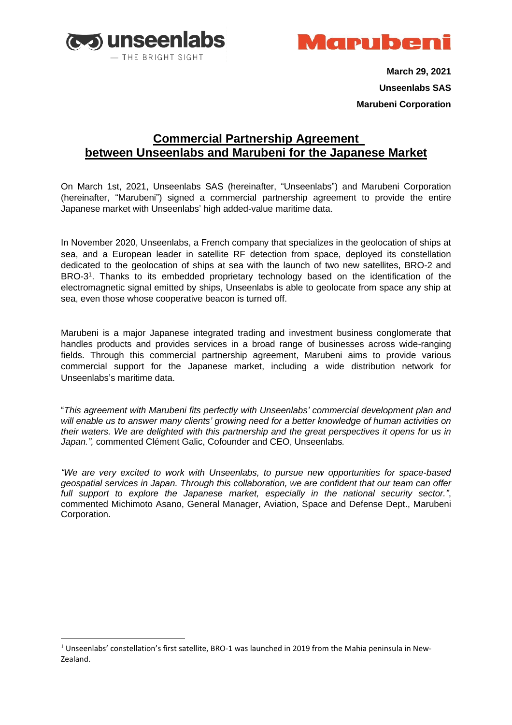



**March 29, 2021 Unseenlabs SAS Marubeni Corporation**

## **Commercial Partnership Agreement between Unseenlabs and Marubeni for the Japanese Market**

On March 1st, 2021, Unseenlabs SAS (hereinafter, "Unseenlabs") and Marubeni Corporation (hereinafter, "Marubeni") signed a commercial partnership agreement to provide the entire Japanese market with Unseenlabs' high added-value maritime data.

In November 2020, Unseenlabs, a French company that specializes in the geolocation of ships at sea, and a European leader in satellite RF detection from space, deployed its constellation dedicated to the geolocation of ships at sea with the launch of two new satellites, BRO-2 and BRO-3 1 . Thanks to its embedded proprietary technology based on the identification of the electromagnetic signal emitted by ships, Unseenlabs is able to geolocate from space any ship at sea, even those whose cooperative beacon is turned off.

Marubeni is a major Japanese integrated trading and investment business conglomerate that handles products and provides services in a broad range of businesses across wide-ranging fields. Through this commercial partnership agreement, Marubeni aims to provide various commercial support for the Japanese market, including a wide distribution network for Unseenlabs's maritime data.

"*This agreement with Marubeni fits perfectly with Unseenlabs' commercial development plan and will enable us to answer many clients' growing need for a better knowledge of human activities on their waters. We are delighted with this partnership and the great perspectives it opens for us in Japan.",* commented Clément Galic, Cofounder and CEO, Unseenlabs*.*

*"We are very excited to work with Unseenlabs, to pursue new opportunities for space-based geospatial services in Japan. Through this collaboration, we are confident that our team can offer full support to explore the Japanese market, especially in the national security sector."*, commented Michimoto Asano, General Manager, Aviation, Space and Defense Dept., Marubeni Corporation.

 $1$  Unseenlabs' constellation's first satellite, BRO-1 was launched in 2019 from the Mahia peninsula in New-Zealand.